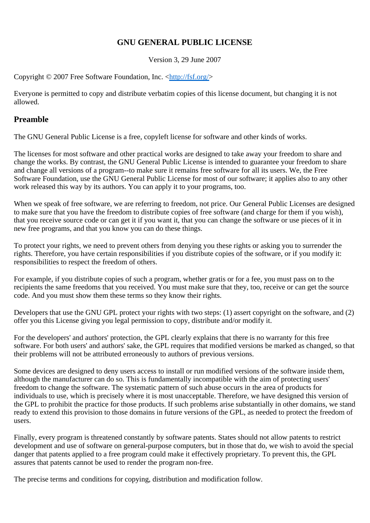# **GNU GENERAL PUBLIC LICENSE**

Version 3, 29 June 2007

Copyright © 2007 Free Software Foundation, Inc. <http://fsf.org/>

Everyone is permitted to copy and distribute verbatim copies of this license document, but changing it is not allowed.

## **Preamble**

The GNU General Public License is a free, copyleft license for software and other kinds of works.

The licenses for most software and other practical works are designed to take away your freedom to share and change the works. By contrast, the GNU General Public License is intended to guarantee your freedom to share and change all versions of a program--to make sure it remains free software for all its users. We, the Free Software Foundation, use the GNU General Public License for most of our software; it applies also to any other work released this way by its authors. You can apply it to your programs, too.

When we speak of free software, we are referring to freedom, not price. Our General Public Licenses are designed to make sure that you have the freedom to distribute copies of free software (and charge for them if you wish), that you receive source code or can get it if you want it, that you can change the software or use pieces of it in new free programs, and that you know you can do these things.

To protect your rights, we need to prevent others from denying you these rights or asking you to surrender the rights. Therefore, you have certain responsibilities if you distribute copies of the software, or if you modify it: responsibilities to respect the freedom of others.

For example, if you distribute copies of such a program, whether gratis or for a fee, you must pass on to the recipients the same freedoms that you received. You must make sure that they, too, receive or can get the source code. And you must show them these terms so they know their rights.

Developers that use the GNU GPL protect your rights with two steps: (1) assert copyright on the software, and (2) offer you this License giving you legal permission to copy, distribute and/or modify it.

For the developers' and authors' protection, the GPL clearly explains that there is no warranty for this free software. For both users' and authors' sake, the GPL requires that modified versions be marked as changed, so that their problems will not be attributed erroneously to authors of previous versions.

Some devices are designed to deny users access to install or run modified versions of the software inside them, although the manufacturer can do so. This is fundamentally incompatible with the aim of protecting users' freedom to change the software. The systematic pattern of such abuse occurs in the area of products for individuals to use, which is precisely where it is most unacceptable. Therefore, we have designed this version of the GPL to prohibit the practice for those products. If such problems arise substantially in other domains, we stand ready to extend this provision to those domains in future versions of the GPL, as needed to protect the freedom of users.

Finally, every program is threatened constantly by software patents. States should not allow patents to restrict development and use of software on general-purpose computers, but in those that do, we wish to avoid the special danger that patents applied to a free program could make it effectively proprietary. To prevent this, the GPL assures that patents cannot be used to render the program non-free.

The precise terms and conditions for copying, distribution and modification follow.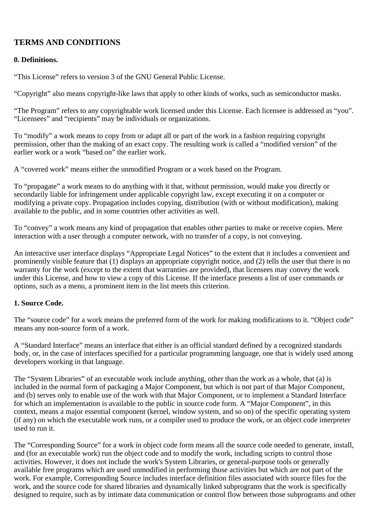# **TERMS AND CONDITIONS**

## **0. Definitions.**

"This License" refers to version 3 of the GNU General Public License.

"Copyright" also means copyright-like laws that apply to other kinds of works, such as semiconductor masks.

"The Program" refers to any copyrightable work licensed under this License. Each licensee is addressed as "you". "Licensees" and "recipients" may be individuals or organizations.

To "modify" a work means to copy from or adapt all or part of the work in a fashion requiring copyright permission, other than the making of an exact copy. The resulting work is called a "modified version" of the earlier work or a work "based on" the earlier work.

A "covered work" means either the unmodified Program or a work based on the Program.

To "propagate" a work means to do anything with it that, without permission, would make you directly or secondarily liable for infringement under applicable copyright law, except executing it on a computer or modifying a private copy. Propagation includes copying, distribution (with or without modification), making available to the public, and in some countries other activities as well.

To "convey" a work means any kind of propagation that enables other parties to make or receive copies. Mere interaction with a user through a computer network, with no transfer of a copy, is not conveying.

An interactive user interface displays "Appropriate Legal Notices" to the extent that it includes a convenient and prominently visible feature that (1) displays an appropriate copyright notice, and (2) tells the user that there is no warranty for the work (except to the extent that warranties are provided), that licensees may convey the work under this License, and how to view a copy of this License. If the interface presents a list of user commands or options, such as a menu, a prominent item in the list meets this criterion.

# **1. Source Code.**

The "source code" for a work means the preferred form of the work for making modifications to it. "Object code" means any non-source form of a work.

A "Standard Interface" means an interface that either is an official standard defined by a recognized standards body, or, in the case of interfaces specified for a particular programming language, one that is widely used among developers working in that language.

The "System Libraries" of an executable work include anything, other than the work as a whole, that (a) is included in the normal form of packaging a Major Component, but which is not part of that Major Component, and (b) serves only to enable use of the work with that Major Component, or to implement a Standard Interface for which an implementation is available to the public in source code form. A "Major Component", in this context, means a major essential component (kernel, window system, and so on) of the specific operating system (if any) on which the executable work runs, or a compiler used to produce the work, or an object code interpreter used to run it.

The "Corresponding Source" for a work in object code form means all the source code needed to generate, install, and (for an executable work) run the object code and to modify the work, including scripts to control those activities. However, it does not include the work's System Libraries, or general-purpose tools or generally available free programs which are used unmodified in performing those activities but which are not part of the work. For example, Corresponding Source includes interface definition files associated with source files for the work, and the source code for shared libraries and dynamically linked subprograms that the work is specifically designed to require, such as by intimate data communication or control flow between those subprograms and other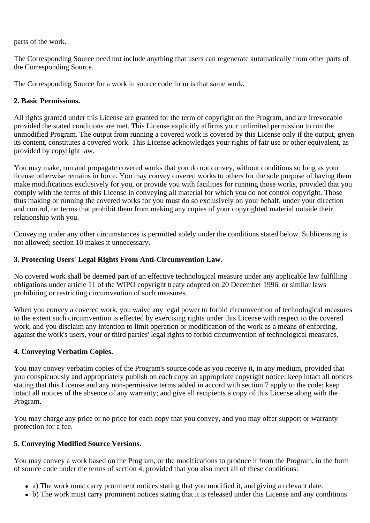parts of the work.

The Corresponding Source need not include anything that users can regenerate automatically from other parts of the Corresponding Source.

The Corresponding Source for a work in source code form is that same work.

## **2. Basic Permissions.**

All rights granted under this License are granted for the term of copyright on the Program, and are irrevocable provided the stated conditions are met. This License explicitly affirms your unlimited permission to run the unmodified Program. The output from running a covered work is covered by this License only if the output, given its content, constitutes a covered work. This License acknowledges your rights of fair use or other equivalent, as provided by copyright law.

You may make, run and propagate covered works that you do not convey, without conditions so long as your license otherwise remains in force. You may convey covered works to others for the sole purpose of having them make modifications exclusively for you, or provide you with facilities for running those works, provided that you comply with the terms of this License in conveying all material for which you do not control copyright. Those thus making or running the covered works for you must do so exclusively on your behalf, under your direction and control, on terms that prohibit them from making any copies of your copyrighted material outside their relationship with you.

Conveying under any other circumstances is permitted solely under the conditions stated below. Sublicensing is not allowed; section 10 makes it unnecessary.

## **3. Protecting Users' Legal Rights From Anti-Circumvention Law.**

No covered work shall be deemed part of an effective technological measure under any applicable law fulfilling obligations under article 11 of the WIPO copyright treaty adopted on 20 December 1996, or similar laws prohibiting or restricting circumvention of such measures.

When you convey a covered work, you waive any legal power to forbid circumvention of technological measures to the extent such circumvention is effected by exercising rights under this License with respect to the covered work, and you disclaim any intention to limit operation or modification of the work as a means of enforcing, against the work's users, your or third parties' legal rights to forbid circumvention of technological measures.

# **4. Conveying Verbatim Copies.**

You may convey verbatim copies of the Program's source code as you receive it, in any medium, provided that you conspicuously and appropriately publish on each copy an appropriate copyright notice; keep intact all notices stating that this License and any non-permissive terms added in accord with section 7 apply to the code; keep intact all notices of the absence of any warranty; and give all recipients a copy of this License along with the Program.

You may charge any price or no price for each copy that you convey, and you may offer support or warranty protection for a fee.

## **5. Conveying Modified Source Versions.**

You may convey a work based on the Program, or the modifications to produce it from the Program, in the form of source code under the terms of section 4, provided that you also meet all of these conditions:

- a) The work must carry prominent notices stating that you modified it, and giving a relevant date.
- b) The work must carry prominent notices stating that it is released under this License and any conditions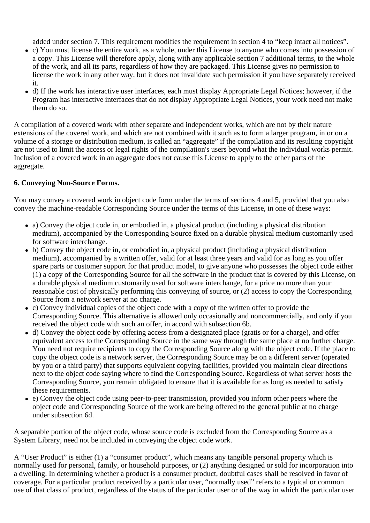added under section 7. This requirement modifies the requirement in section 4 to "keep intact all notices".

- c) You must license the entire work, as a whole, under this License to anyone who comes into possession of a copy. This License will therefore apply, along with any applicable section 7 additional terms, to the whole of the work, and all its parts, regardless of how they are packaged. This License gives no permission to license the work in any other way, but it does not invalidate such permission if you have separately received it.
- d) If the work has interactive user interfaces, each must display Appropriate Legal Notices; however, if the Program has interactive interfaces that do not display Appropriate Legal Notices, your work need not make them do so.

A compilation of a covered work with other separate and independent works, which are not by their nature extensions of the covered work, and which are not combined with it such as to form a larger program, in or on a volume of a storage or distribution medium, is called an "aggregate" if the compilation and its resulting copyright are not used to limit the access or legal rights of the compilation's users beyond what the individual works permit. Inclusion of a covered work in an aggregate does not cause this License to apply to the other parts of the aggregate.

## **6. Conveying Non-Source Forms.**

You may convey a covered work in object code form under the terms of sections 4 and 5, provided that you also convey the machine-readable Corresponding Source under the terms of this License, in one of these ways:

- a) Convey the object code in, or embodied in, a physical product (including a physical distribution medium), accompanied by the Corresponding Source fixed on a durable physical medium customarily used for software interchange.
- b) Convey the object code in, or embodied in, a physical product (including a physical distribution medium), accompanied by a written offer, valid for at least three years and valid for as long as you offer spare parts or customer support for that product model, to give anyone who possesses the object code either (1) a copy of the Corresponding Source for all the software in the product that is covered by this License, on a durable physical medium customarily used for software interchange, for a price no more than your reasonable cost of physically performing this conveying of source, or (2) access to copy the Corresponding Source from a network server at no charge.
- c) Convey individual copies of the object code with a copy of the written offer to provide the Corresponding Source. This alternative is allowed only occasionally and noncommercially, and only if you received the object code with such an offer, in accord with subsection 6b.
- d) Convey the object code by offering access from a designated place (gratis or for a charge), and offer equivalent access to the Corresponding Source in the same way through the same place at no further charge. You need not require recipients to copy the Corresponding Source along with the object code. If the place to copy the object code is a network server, the Corresponding Source may be on a different server (operated by you or a third party) that supports equivalent copying facilities, provided you maintain clear directions next to the object code saying where to find the Corresponding Source. Regardless of what server hosts the Corresponding Source, you remain obligated to ensure that it is available for as long as needed to satisfy these requirements.
- e) Convey the object code using peer-to-peer transmission, provided you inform other peers where the object code and Corresponding Source of the work are being offered to the general public at no charge under subsection 6d.

A separable portion of the object code, whose source code is excluded from the Corresponding Source as a System Library, need not be included in conveying the object code work.

A "User Product" is either (1) a "consumer product", which means any tangible personal property which is normally used for personal, family, or household purposes, or (2) anything designed or sold for incorporation into a dwelling. In determining whether a product is a consumer product, doubtful cases shall be resolved in favor of coverage. For a particular product received by a particular user, "normally used" refers to a typical or common use of that class of product, regardless of the status of the particular user or of the way in which the particular user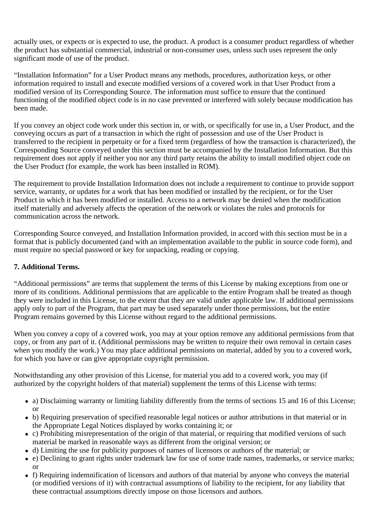actually uses, or expects or is expected to use, the product. A product is a consumer product regardless of whether the product has substantial commercial, industrial or non-consumer uses, unless such uses represent the only significant mode of use of the product.

"Installation Information" for a User Product means any methods, procedures, authorization keys, or other information required to install and execute modified versions of a covered work in that User Product from a modified version of its Corresponding Source. The information must suffice to ensure that the continued functioning of the modified object code is in no case prevented or interfered with solely because modification has been made.

If you convey an object code work under this section in, or with, or specifically for use in, a User Product, and the conveying occurs as part of a transaction in which the right of possession and use of the User Product is transferred to the recipient in perpetuity or for a fixed term (regardless of how the transaction is characterized), the Corresponding Source conveyed under this section must be accompanied by the Installation Information. But this requirement does not apply if neither you nor any third party retains the ability to install modified object code on the User Product (for example, the work has been installed in ROM).

The requirement to provide Installation Information does not include a requirement to continue to provide support service, warranty, or updates for a work that has been modified or installed by the recipient, or for the User Product in which it has been modified or installed. Access to a network may be denied when the modification itself materially and adversely affects the operation of the network or violates the rules and protocols for communication across the network.

Corresponding Source conveyed, and Installation Information provided, in accord with this section must be in a format that is publicly documented (and with an implementation available to the public in source code form), and must require no special password or key for unpacking, reading or copying.

# **7. Additional Terms.**

"Additional permissions" are terms that supplement the terms of this License by making exceptions from one or more of its conditions. Additional permissions that are applicable to the entire Program shall be treated as though they were included in this License, to the extent that they are valid under applicable law. If additional permissions apply only to part of the Program, that part may be used separately under those permissions, but the entire Program remains governed by this License without regard to the additional permissions.

When you convey a copy of a covered work, you may at your option remove any additional permissions from that copy, or from any part of it. (Additional permissions may be written to require their own removal in certain cases when you modify the work.) You may place additional permissions on material, added by you to a covered work, for which you have or can give appropriate copyright permission.

Notwithstanding any other provision of this License, for material you add to a covered work, you may (if authorized by the copyright holders of that material) supplement the terms of this License with terms:

- a) Disclaiming warranty or limiting liability differently from the terms of sections 15 and 16 of this License; or
- b) Requiring preservation of specified reasonable legal notices or author attributions in that material or in the Appropriate Legal Notices displayed by works containing it; or
- c) Prohibiting misrepresentation of the origin of that material, or requiring that modified versions of such material be marked in reasonable ways as different from the original version; or
- d) Limiting the use for publicity purposes of names of licensors or authors of the material; or
- e) Declining to grant rights under trademark law for use of some trade names, trademarks, or service marks; or
- f) Requiring indemnification of licensors and authors of that material by anyone who conveys the material (or modified versions of it) with contractual assumptions of liability to the recipient, for any liability that these contractual assumptions directly impose on those licensors and authors.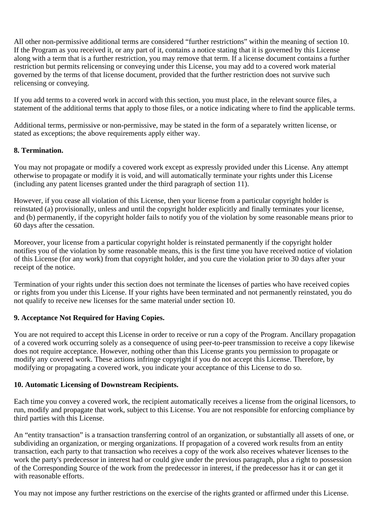All other non-permissive additional terms are considered "further restrictions" within the meaning of section 10. If the Program as you received it, or any part of it, contains a notice stating that it is governed by this License along with a term that is a further restriction, you may remove that term. If a license document contains a further restriction but permits relicensing or conveying under this License, you may add to a covered work material governed by the terms of that license document, provided that the further restriction does not survive such relicensing or conveying.

If you add terms to a covered work in accord with this section, you must place, in the relevant source files, a statement of the additional terms that apply to those files, or a notice indicating where to find the applicable terms.

Additional terms, permissive or non-permissive, may be stated in the form of a separately written license, or stated as exceptions; the above requirements apply either way.

## **8. Termination.**

You may not propagate or modify a covered work except as expressly provided under this License. Any attempt otherwise to propagate or modify it is void, and will automatically terminate your rights under this License (including any patent licenses granted under the third paragraph of section 11).

However, if you cease all violation of this License, then your license from a particular copyright holder is reinstated (a) provisionally, unless and until the copyright holder explicitly and finally terminates your license, and (b) permanently, if the copyright holder fails to notify you of the violation by some reasonable means prior to 60 days after the cessation.

Moreover, your license from a particular copyright holder is reinstated permanently if the copyright holder notifies you of the violation by some reasonable means, this is the first time you have received notice of violation of this License (for any work) from that copyright holder, and you cure the violation prior to 30 days after your receipt of the notice.

Termination of your rights under this section does not terminate the licenses of parties who have received copies or rights from you under this License. If your rights have been terminated and not permanently reinstated, you do not qualify to receive new licenses for the same material under section 10.

## **9. Acceptance Not Required for Having Copies.**

You are not required to accept this License in order to receive or run a copy of the Program. Ancillary propagation of a covered work occurring solely as a consequence of using peer-to-peer transmission to receive a copy likewise does not require acceptance. However, nothing other than this License grants you permission to propagate or modify any covered work. These actions infringe copyright if you do not accept this License. Therefore, by modifying or propagating a covered work, you indicate your acceptance of this License to do so.

#### **10. Automatic Licensing of Downstream Recipients.**

Each time you convey a covered work, the recipient automatically receives a license from the original licensors, to run, modify and propagate that work, subject to this License. You are not responsible for enforcing compliance by third parties with this License.

An "entity transaction" is a transaction transferring control of an organization, or substantially all assets of one, or subdividing an organization, or merging organizations. If propagation of a covered work results from an entity transaction, each party to that transaction who receives a copy of the work also receives whatever licenses to the work the party's predecessor in interest had or could give under the previous paragraph, plus a right to possession of the Corresponding Source of the work from the predecessor in interest, if the predecessor has it or can get it with reasonable efforts.

You may not impose any further restrictions on the exercise of the rights granted or affirmed under this License.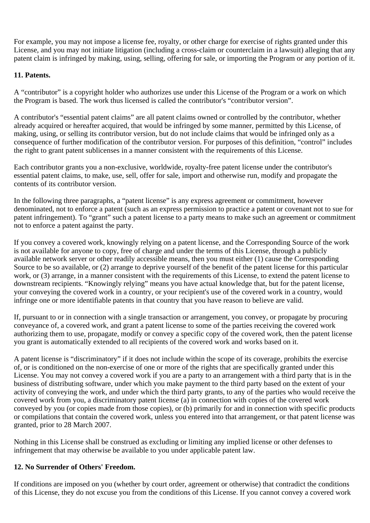For example, you may not impose a license fee, royalty, or other charge for exercise of rights granted under this License, and you may not initiate litigation (including a cross-claim or counterclaim in a lawsuit) alleging that any patent claim is infringed by making, using, selling, offering for sale, or importing the Program or any portion of it.

## **11. Patents.**

A "contributor" is a copyright holder who authorizes use under this License of the Program or a work on which the Program is based. The work thus licensed is called the contributor's "contributor version".

A contributor's "essential patent claims" are all patent claims owned or controlled by the contributor, whether already acquired or hereafter acquired, that would be infringed by some manner, permitted by this License, of making, using, or selling its contributor version, but do not include claims that would be infringed only as a consequence of further modification of the contributor version. For purposes of this definition, "control" includes the right to grant patent sublicenses in a manner consistent with the requirements of this License.

Each contributor grants you a non-exclusive, worldwide, royalty-free patent license under the contributor's essential patent claims, to make, use, sell, offer for sale, import and otherwise run, modify and propagate the contents of its contributor version.

In the following three paragraphs, a "patent license" is any express agreement or commitment, however denominated, not to enforce a patent (such as an express permission to practice a patent or covenant not to sue for patent infringement). To "grant" such a patent license to a party means to make such an agreement or commitment not to enforce a patent against the party.

If you convey a covered work, knowingly relying on a patent license, and the Corresponding Source of the work is not available for anyone to copy, free of charge and under the terms of this License, through a publicly available network server or other readily accessible means, then you must either (1) cause the Corresponding Source to be so available, or (2) arrange to deprive yourself of the benefit of the patent license for this particular work, or (3) arrange, in a manner consistent with the requirements of this License, to extend the patent license to downstream recipients. "Knowingly relying" means you have actual knowledge that, but for the patent license, your conveying the covered work in a country, or your recipient's use of the covered work in a country, would infringe one or more identifiable patents in that country that you have reason to believe are valid.

If, pursuant to or in connection with a single transaction or arrangement, you convey, or propagate by procuring conveyance of, a covered work, and grant a patent license to some of the parties receiving the covered work authorizing them to use, propagate, modify or convey a specific copy of the covered work, then the patent license you grant is automatically extended to all recipients of the covered work and works based on it.

A patent license is "discriminatory" if it does not include within the scope of its coverage, prohibits the exercise of, or is conditioned on the non-exercise of one or more of the rights that are specifically granted under this License. You may not convey a covered work if you are a party to an arrangement with a third party that is in the business of distributing software, under which you make payment to the third party based on the extent of your activity of conveying the work, and under which the third party grants, to any of the parties who would receive the covered work from you, a discriminatory patent license (a) in connection with copies of the covered work conveyed by you (or copies made from those copies), or (b) primarily for and in connection with specific products or compilations that contain the covered work, unless you entered into that arrangement, or that patent license was granted, prior to 28 March 2007.

Nothing in this License shall be construed as excluding or limiting any implied license or other defenses to infringement that may otherwise be available to you under applicable patent law.

## **12. No Surrender of Others' Freedom.**

If conditions are imposed on you (whether by court order, agreement or otherwise) that contradict the conditions of this License, they do not excuse you from the conditions of this License. If you cannot convey a covered work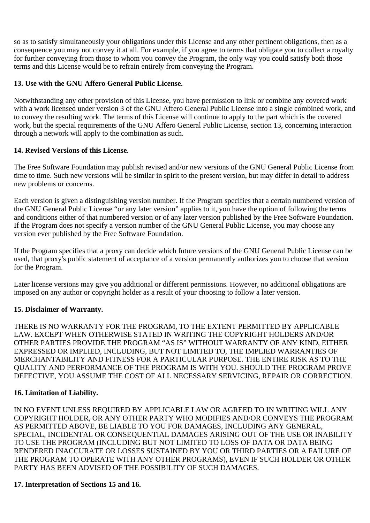so as to satisfy simultaneously your obligations under this License and any other pertinent obligations, then as a consequence you may not convey it at all. For example, if you agree to terms that obligate you to collect a royalty for further conveying from those to whom you convey the Program, the only way you could satisfy both those terms and this License would be to refrain entirely from conveying the Program.

## **13. Use with the GNU Affero General Public License.**

Notwithstanding any other provision of this License, you have permission to link or combine any covered work with a work licensed under version 3 of the GNU Affero General Public License into a single combined work, and to convey the resulting work. The terms of this License will continue to apply to the part which is the covered work, but the special requirements of the GNU Affero General Public License, section 13, concerning interaction through a network will apply to the combination as such.

#### **14. Revised Versions of this License.**

The Free Software Foundation may publish revised and/or new versions of the GNU General Public License from time to time. Such new versions will be similar in spirit to the present version, but may differ in detail to address new problems or concerns.

Each version is given a distinguishing version number. If the Program specifies that a certain numbered version of the GNU General Public License "or any later version" applies to it, you have the option of following the terms and conditions either of that numbered version or of any later version published by the Free Software Foundation. If the Program does not specify a version number of the GNU General Public License, you may choose any version ever published by the Free Software Foundation.

If the Program specifies that a proxy can decide which future versions of the GNU General Public License can be used, that proxy's public statement of acceptance of a version permanently authorizes you to choose that version for the Program.

Later license versions may give you additional or different permissions. However, no additional obligations are imposed on any author or copyright holder as a result of your choosing to follow a later version.

#### **15. Disclaimer of Warranty.**

THERE IS NO WARRANTY FOR THE PROGRAM, TO THE EXTENT PERMITTED BY APPLICABLE LAW. EXCEPT WHEN OTHERWISE STATED IN WRITING THE COPYRIGHT HOLDERS AND/OR OTHER PARTIES PROVIDE THE PROGRAM "AS IS" WITHOUT WARRANTY OF ANY KIND, EITHER EXPRESSED OR IMPLIED, INCLUDING, BUT NOT LIMITED TO, THE IMPLIED WARRANTIES OF MERCHANTABILITY AND FITNESS FOR A PARTICULAR PURPOSE. THE ENTIRE RISK AS TO THE QUALITY AND PERFORMANCE OF THE PROGRAM IS WITH YOU. SHOULD THE PROGRAM PROVE DEFECTIVE, YOU ASSUME THE COST OF ALL NECESSARY SERVICING, REPAIR OR CORRECTION.

## **16. Limitation of Liability.**

IN NO EVENT UNLESS REQUIRED BY APPLICABLE LAW OR AGREED TO IN WRITING WILL ANY COPYRIGHT HOLDER, OR ANY OTHER PARTY WHO MODIFIES AND/OR CONVEYS THE PROGRAM AS PERMITTED ABOVE, BE LIABLE TO YOU FOR DAMAGES, INCLUDING ANY GENERAL, SPECIAL, INCIDENTAL OR CONSEQUENTIAL DAMAGES ARISING OUT OF THE USE OR INABILITY TO USE THE PROGRAM (INCLUDING BUT NOT LIMITED TO LOSS OF DATA OR DATA BEING RENDERED INACCURATE OR LOSSES SUSTAINED BY YOU OR THIRD PARTIES OR A FAILURE OF THE PROGRAM TO OPERATE WITH ANY OTHER PROGRAMS), EVEN IF SUCH HOLDER OR OTHER PARTY HAS BEEN ADVISED OF THE POSSIBILITY OF SUCH DAMAGES.

#### **17. Interpretation of Sections 15 and 16.**